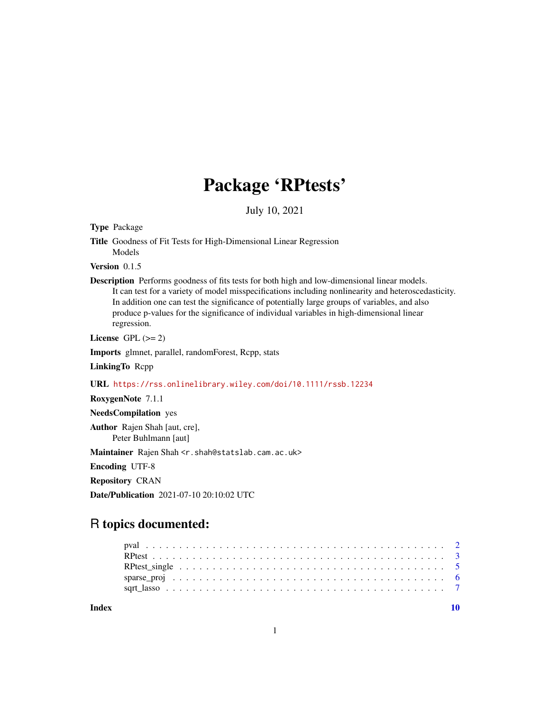## Package 'RPtests'

July 10, 2021

<span id="page-0-0"></span>Type Package

Version 0.1.5

Description Performs goodness of fits tests for both high and low-dimensional linear models. It can test for a variety of model misspecifications including nonlinearity and heteroscedasticity. In addition one can test the significance of potentially large groups of variables, and also produce p-values for the significance of individual variables in high-dimensional linear regression.

License GPL  $(>= 2)$ 

Imports glmnet, parallel, randomForest, Rcpp, stats

LinkingTo Rcpp

URL <https://rss.onlinelibrary.wiley.com/doi/10.1111/rssb.12234>

RoxygenNote 7.1.1

NeedsCompilation yes

Author Rajen Shah [aut, cre], Peter Buhlmann [aut]

Maintainer Rajen Shah <r.shah@statslab.cam.ac.uk>

Encoding UTF-8

Repository CRAN

Date/Publication 2021-07-10 20:10:02 UTC

### R topics documented:

 $\blacksquare$ 

Title Goodness of Fit Tests for High-Dimensional Linear Regression Models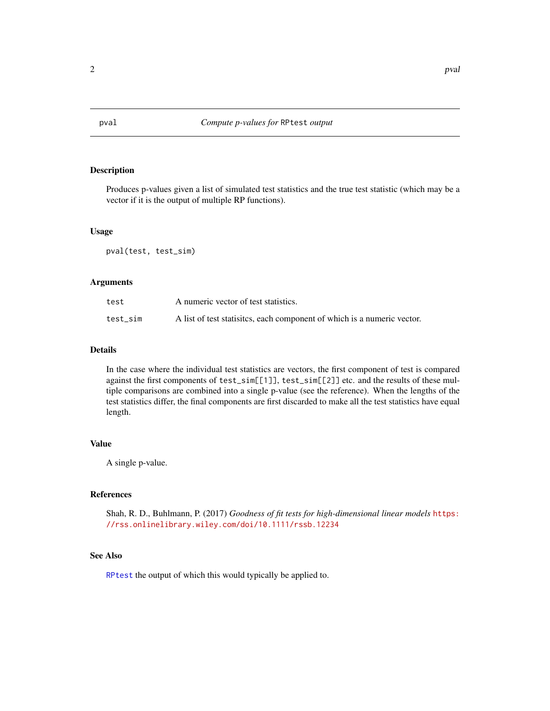<span id="page-1-0"></span>

#### Description

Produces p-values given a list of simulated test statistics and the true test statistic (which may be a vector if it is the output of multiple RP functions).

#### Usage

pval(test, test\_sim)

#### Arguments

| test     | A numeric vector of test statistics.                                     |
|----------|--------------------------------------------------------------------------|
| test sim | A list of test statisities, each component of which is a numeric vector. |

#### Details

In the case where the individual test statistics are vectors, the first component of test is compared against the first components of test\_sim[[1]], test\_sim[[2]] etc. and the results of these multiple comparisons are combined into a single p-value (see the reference). When the lengths of the test statistics differ, the final components are first discarded to make all the test statistics have equal length.

#### Value

A single p-value.

#### References

Shah, R. D., Buhlmann, P. (2017) *Goodness of fit tests for high-dimensional linear models* [https:](https://rss.onlinelibrary.wiley.com/doi/10.1111/rssb.12234) [//rss.onlinelibrary.wiley.com/doi/10.1111/rssb.12234](https://rss.onlinelibrary.wiley.com/doi/10.1111/rssb.12234)

#### See Also

[RPtest](#page-2-1) the output of which this would typically be applied to.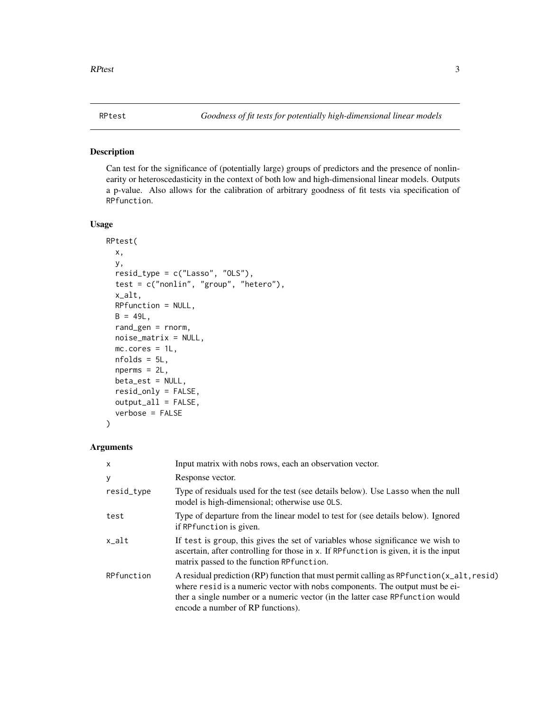#### <span id="page-2-1"></span><span id="page-2-0"></span>Description

Can test for the significance of (potentially large) groups of predictors and the presence of nonlinearity or heteroscedasticity in the context of both low and high-dimensional linear models. Outputs a p-value. Also allows for the calibration of arbitrary goodness of fit tests via specification of RPfunction.

#### Usage

```
RPtest(
 x,
 y,
  resid_type = c("Lasso", "OLS"),
  test = c("nonlin", "group", "hetero"),
 x_alt,
 RPfunction = NULL,
 B = 49L,rand_gen = rnorm,
 noise_matrix = NULL,
 mc.cores = 1L,
 nfolds = 5L,
 nperms = 2L,
 beta_est = NULL,
  resid_only = FALSE,
  output_all = FALSE,
  verbose = FALSE
)
```
#### Arguments

| $\mathsf{x}$ | Input matrix with nobs rows, each an observation vector.                                                                                                                                                                                                                                         |
|--------------|--------------------------------------------------------------------------------------------------------------------------------------------------------------------------------------------------------------------------------------------------------------------------------------------------|
| У            | Response vector.                                                                                                                                                                                                                                                                                 |
| resid_type   | Type of residuals used for the test (see details below). Use Lasso when the null<br>model is high-dimensional; otherwise use OLS.                                                                                                                                                                |
| test         | Type of departure from the linear model to test for (see details below). Ignored<br>if RPfunction is given.                                                                                                                                                                                      |
| $x$ alt      | If test is group, this gives the set of variables whose significance we wish to<br>ascertain, after controlling for those in x. If RPfunction is given, it is the input<br>matrix passed to the function RP function.                                                                            |
| RPfunction   | A residual prediction (RP) function that must permit calling as RPfunction (x_alt, resid)<br>where resid is a numeric vector with nobs components. The output must be ei-<br>ther a single number or a numeric vector (in the latter case RP function would<br>encode a number of RP functions). |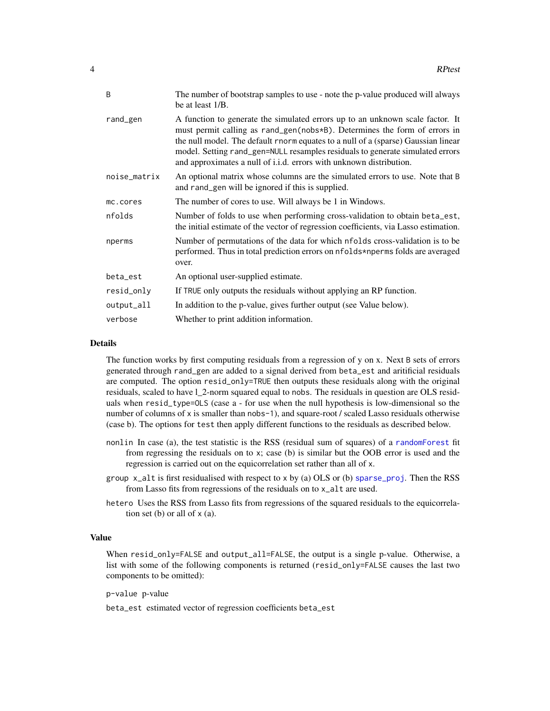<span id="page-3-0"></span>

| B            | The number of bootstrap samples to use - note the p-value produced will always<br>be at least 1/B.                                                                                                                                                                                                                                                                                                      |
|--------------|---------------------------------------------------------------------------------------------------------------------------------------------------------------------------------------------------------------------------------------------------------------------------------------------------------------------------------------------------------------------------------------------------------|
| rand_gen     | A function to generate the simulated errors up to an unknown scale factor. It<br>must permit calling as rand_gen(nobs*B). Determines the form of errors in<br>the null model. The default rnorm equates to a null of a (sparse) Gaussian linear<br>model. Setting rand_gen=NULL resamples residuals to generate simulated errors<br>and approximates a null of i.i.d. errors with unknown distribution. |
| noise_matrix | An optional matrix whose columns are the simulated errors to use. Note that B<br>and rand_gen will be ignored if this is supplied.                                                                                                                                                                                                                                                                      |
| mc.cores     | The number of cores to use. Will always be 1 in Windows.                                                                                                                                                                                                                                                                                                                                                |
| nfolds       | Number of folds to use when performing cross-validation to obtain beta_est,<br>the initial estimate of the vector of regression coefficients, via Lasso estimation.                                                                                                                                                                                                                                     |
| nperms       | Number of permutations of the data for which nfolds cross-validation is to be<br>performed. Thus in total prediction errors on nfolds*nperms folds are averaged<br>over.                                                                                                                                                                                                                                |
| beta_est     | An optional user-supplied estimate.                                                                                                                                                                                                                                                                                                                                                                     |
| resid_only   | If TRUE only outputs the residuals without applying an RP function.                                                                                                                                                                                                                                                                                                                                     |
| output_all   | In addition to the p-value, gives further output (see Value below).                                                                                                                                                                                                                                                                                                                                     |
| verbose      | Whether to print addition information.                                                                                                                                                                                                                                                                                                                                                                  |

#### Details

The function works by first computing residuals from a regression of y on x. Next B sets of errors generated through rand\_gen are added to a signal derived from beta\_est and aritificial residuals are computed. The option  $resid\_only = TRUE$  then outputs these residuals along with the original residuals, scaled to have l\_2-norm squared equal to nobs. The residuals in question are OLS residuals when resid\_type=OLS (case a - for use when the null hypothesis is low-dimensional so the number of columns of x is smaller than nobs-1), and square-root / scaled Lasso residuals otherwise (case b). The options for test then apply different functions to the residuals as described below.

- nonlin In case (a), the test statistic is the RSS (residual sum of squares) of a [randomForest](#page-0-0) fit from regressing the residuals on to x; case (b) is similar but the OOB error is used and the regression is carried out on the equicorrelation set rather than all of x.
- group  $x$ -alt is first residualised with respect to x by (a) OLS or (b) sparse-proj. Then the RSS from Lasso fits from regressions of the residuals on to x\_alt are used.
- hetero Uses the RSS from Lasso fits from regressions of the squared residuals to the equicorrelation set (b) or all of  $x$  (a).

#### Value

When resid\_only=FALSE and output\_all=FALSE, the output is a single p-value. Otherwise, a list with some of the following components is returned (resid\_only=FALSE causes the last two components to be omitted):

p-value p-value

beta\_est estimated vector of regression coefficients beta\_est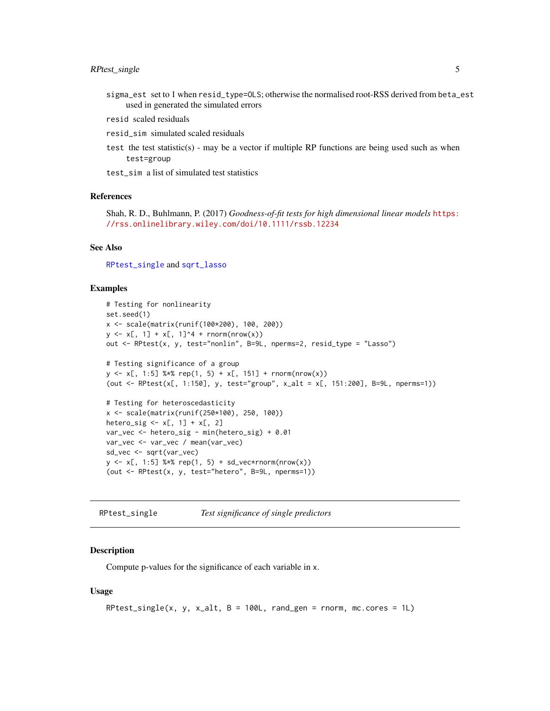- <span id="page-4-0"></span>sigma\_est set to 1 when resid\_type=OLS; otherwise the normalised root-RSS derived from beta\_est used in generated the simulated errors
- resid scaled residuals
- resid\_sim simulated scaled residuals
- test the test statistic(s) may be a vector if multiple RP functions are being used such as when test=group
- test\_sim a list of simulated test statistics

#### References

Shah, R. D., Buhlmann, P. (2017) *Goodness-of-fit tests for high dimensional linear models* [https:](https://rss.onlinelibrary.wiley.com/doi/10.1111/rssb.12234) [//rss.onlinelibrary.wiley.com/doi/10.1111/rssb.12234](https://rss.onlinelibrary.wiley.com/doi/10.1111/rssb.12234)

#### See Also

[RPtest\\_single](#page-4-1) and [sqrt\\_lasso](#page-6-1)

#### Examples

```
# Testing for nonlinearity
set.seed(1)
x <- scale(matrix(runif(100*200), 100, 200))
y \le x[, 1] + x[, 1]<sup>^4</sup> + rnorm(nrow(x))
out <- RPtest(x, y, test="nonlin", B=9L, nperms=2, resid_type = "Lasso")
# Testing significance of a group
y \le x[, 1:5] %*% rep(1, 5) + x[, 151] + rnorm(nrow(x))
(out <- RPtest(x[, 1:150], y, test="group", x_alt = x[, 151:200], B=9L, nperms=1))
# Testing for heteroscedasticity
x <- scale(matrix(runif(250*100), 250, 100))
hetero_sig \leq x[, 1] + x[, 2]
var_vec <- hetero_sig - min(hetero_sig) + 0.01
var_vec <- var_vec / mean(var_vec)
sd_vec <- sqrt(var_vec)
y \le x[, 1:5] %*% rep(1, 5) + sd_vec*rnorm(nrow(x))
(out <- RPtest(x, y, test="hetero", B=9L, nperms=1))
```
<span id="page-4-1"></span>RPtest\_single *Test significance of single predictors*

#### **Description**

Compute p-values for the significance of each variable in x.

#### Usage

```
RPtest_single(x, y, x_alt, B = 100L, rand_gen = rnorm, mc.cores = 1L)
```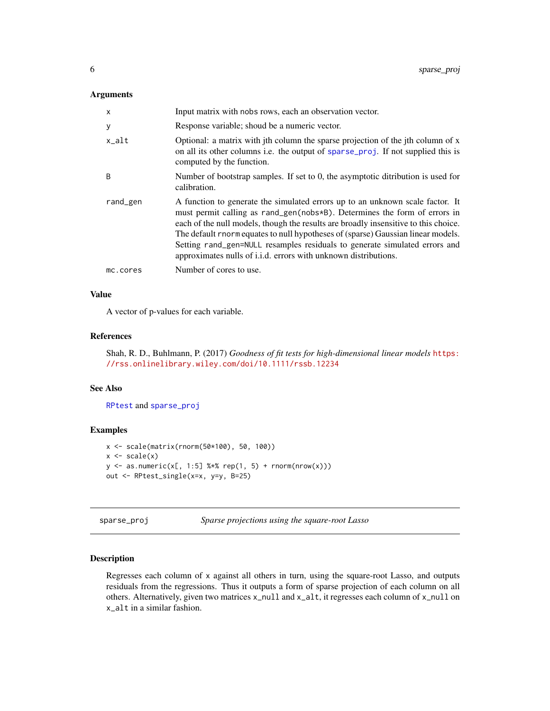#### <span id="page-5-0"></span>Arguments

| x        | Input matrix with nobs rows, each an observation vector.                                                                                                                                                                                                                                                                                                                                                                                                                                      |
|----------|-----------------------------------------------------------------------------------------------------------------------------------------------------------------------------------------------------------------------------------------------------------------------------------------------------------------------------------------------------------------------------------------------------------------------------------------------------------------------------------------------|
| У        | Response variable; shoud be a numeric vector.                                                                                                                                                                                                                                                                                                                                                                                                                                                 |
| x_alt    | Optional: a matrix with jth column the sparse projection of the jth column of x<br>on all its other columns i.e. the output of sparse_proj. If not supplied this is<br>computed by the function.                                                                                                                                                                                                                                                                                              |
| B        | Number of bootstrap samples. If set to 0, the asymptotic ditribution is used for<br>calibration.                                                                                                                                                                                                                                                                                                                                                                                              |
| rand_gen | A function to generate the simulated errors up to an unknown scale factor. It<br>must permit calling as rand_gen(nobs*B). Determines the form of errors in<br>each of the null models, though the results are broadly insensitive to this choice.<br>The default rnorm equates to null hypotheses of (sparse) Gaussian linear models.<br>Setting rand_gen=NULL resamples residuals to generate simulated errors and<br>approximates nulls of <i>i.i.d.</i> errors with unknown distributions. |
| mc.cores | Number of cores to use.                                                                                                                                                                                                                                                                                                                                                                                                                                                                       |

#### Value

A vector of p-values for each variable.

#### References

Shah, R. D., Buhlmann, P. (2017) *Goodness of fit tests for high-dimensional linear models* [https:](https://rss.onlinelibrary.wiley.com/doi/10.1111/rssb.12234) [//rss.onlinelibrary.wiley.com/doi/10.1111/rssb.12234](https://rss.onlinelibrary.wiley.com/doi/10.1111/rssb.12234)

#### See Also

[RPtest](#page-2-1) and [sparse\\_proj](#page-5-1)

#### Examples

```
x <- scale(matrix(rnorm(50*100), 50, 100))
x \leftarrow scale(x)y \le - as.numeric(x[, 1:5] %*% rep(1, 5) + rnorm(nrow(x)))
out <- RPtest_single(x=x, y=y, B=25)
```
<span id="page-5-1"></span>sparse\_proj *Sparse projections using the square-root Lasso*

#### Description

Regresses each column of x against all others in turn, using the square-root Lasso, and outputs residuals from the regressions. Thus it outputs a form of sparse projection of each column on all others. Alternatively, given two matrices x\_null and x\_alt, it regresses each column of x\_null on x\_alt in a similar fashion.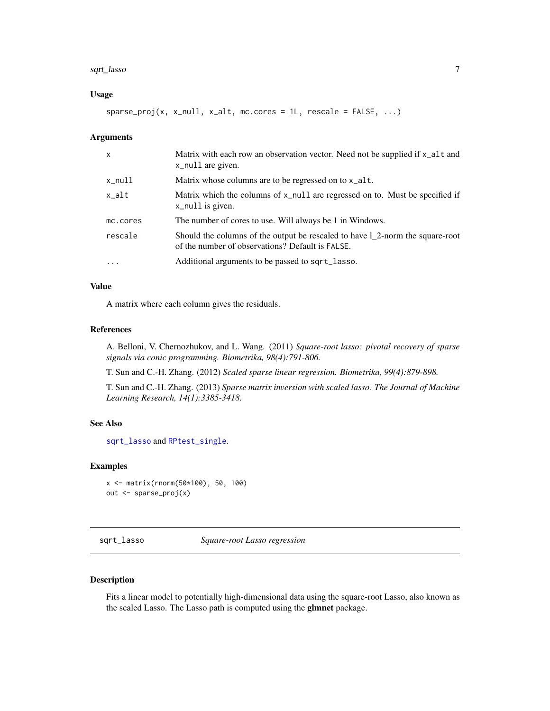#### <span id="page-6-0"></span>sqrt\_lasso 7

#### Usage

 $sparse\_proj(x, x\_null, x\_alt, mc.core = 1L, rescale = FALSE, ...)$ 

#### Arguments

| $\mathsf{x}$ | Matrix with each row an observation vector. Need not be supplied if $x$ -alt and<br>x_null are given.                             |
|--------------|-----------------------------------------------------------------------------------------------------------------------------------|
| x_null       | Matrix whose columns are to be regressed on to x_alt.                                                                             |
| $x$ alt      | Matrix which the columns of x_null are regressed on to. Must be specified if<br>x_null is given.                                  |
| mc.cores     | The number of cores to use. Will always be 1 in Windows.                                                                          |
| rescale      | Should the columns of the output be rescaled to have 1_2-norm the square-root<br>of the number of observations? Default is FALSE. |
| $\cdot$      | Additional arguments to be passed to sqrt_lasso.                                                                                  |

#### Value

A matrix where each column gives the residuals.

#### References

A. Belloni, V. Chernozhukov, and L. Wang. (2011) *Square-root lasso: pivotal recovery of sparse signals via conic programming. Biometrika, 98(4):791-806.*

T. Sun and C.-H. Zhang. (2012) *Scaled sparse linear regression. Biometrika, 99(4):879-898.*

T. Sun and C.-H. Zhang. (2013) *Sparse matrix inversion with scaled lasso. The Journal of Machine Learning Research, 14(1):3385-3418.*

#### See Also

[sqrt\\_lasso](#page-6-1) and [RPtest\\_single](#page-4-1).

#### Examples

```
x <- matrix(rnorm(50*100), 50, 100)
out <- sparse_proj(x)
```
<span id="page-6-1"></span>sqrt\_lasso *Square-root Lasso regression*

#### Description

Fits a linear model to potentially high-dimensional data using the square-root Lasso, also known as the scaled Lasso. The Lasso path is computed using the glmnet package.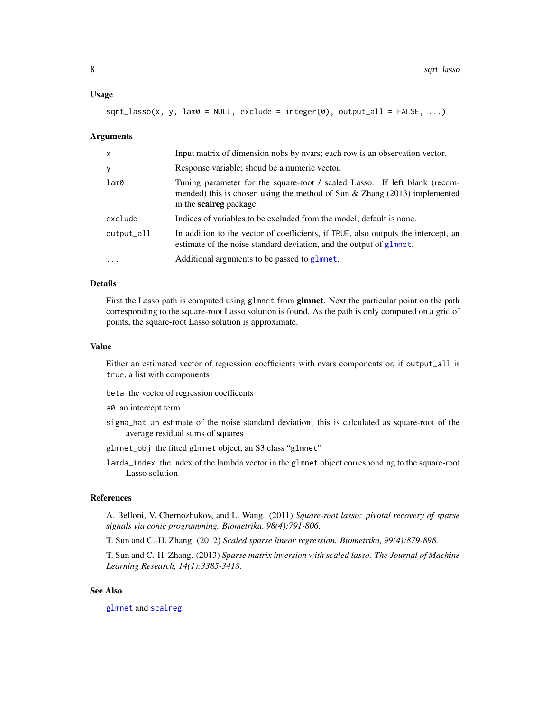#### <span id="page-7-0"></span>Usage

```
sqrt_\text{spt\_lasso(x, y, lam0 = NULL, exclude = integer(0), output_\text{all} = FALSE, ...)
```
#### Arguments

| $\mathsf{x}$    | Input matrix of dimension nobs by nyars; each row is an observation vector.                                                                                                                  |
|-----------------|----------------------------------------------------------------------------------------------------------------------------------------------------------------------------------------------|
| У               | Response variable; shoud be a numeric vector.                                                                                                                                                |
| $l$ am $\theta$ | Tuning parameter for the square-root / scaled Lasso. If left blank (recom-<br>mended) this is chosen using the method of Sun $\&$ Zhang (2013) implemented<br>in the <b>scalreg</b> package. |
| exclude         | Indices of variables to be excluded from the model; default is none.                                                                                                                         |
| output_all      | In addition to the vector of coefficients, if TRUE, also outputs the intercept, an<br>estimate of the noise standard deviation, and the output of glmnet.                                    |
| $\cdot$         | Additional arguments to be passed to glmnet.                                                                                                                                                 |

#### Details

First the Lasso path is computed using glmnet from **glmnet**. Next the particular point on the path corresponding to the square-root Lasso solution is found. As the path is only computed on a grid of points, the square-root Lasso solution is approximate.

#### Value

Either an estimated vector of regression coefficients with nvars components or, if output\_all is true, a list with components

beta the vector of regression coefficents

a0 an intercept term

- sigma\_hat an estimate of the noise standard deviation; this is calculated as square-root of the average residual sums of squares
- glmnet\_obj the fitted glmnet object, an S3 class "glmnet"
- lamda\_index the index of the lambda vector in the glmnet object corresponding to the square-root Lasso solution

#### References

A. Belloni, V. Chernozhukov, and L. Wang. (2011) *Square-root lasso: pivotal recovery of sparse signals via conic programming. Biometrika, 98(4):791-806.*

T. Sun and C.-H. Zhang. (2012) *Scaled sparse linear regression. Biometrika, 99(4):879-898.*

T. Sun and C.-H. Zhang. (2013) *Sparse matrix inversion with scaled lasso. The Journal of Machine Learning Research, 14(1):3385-3418.*

#### See Also

[glmnet](#page-0-0) and [scalreg](#page-0-0).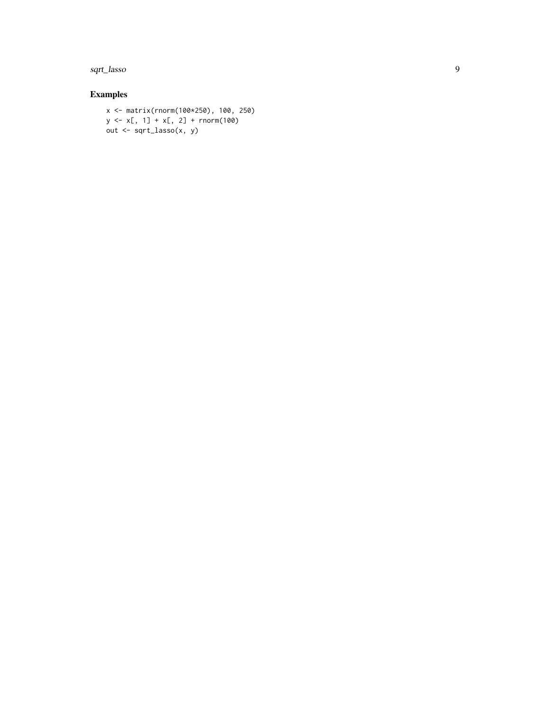sqrt\_lasso

#### Examples

```
x <- matrix(rnorm(100*250), 100, 250)
y \le x[, 1] + x[, 2] + \text{norm}(100)out <- sqrt_lasso(x, y)
```